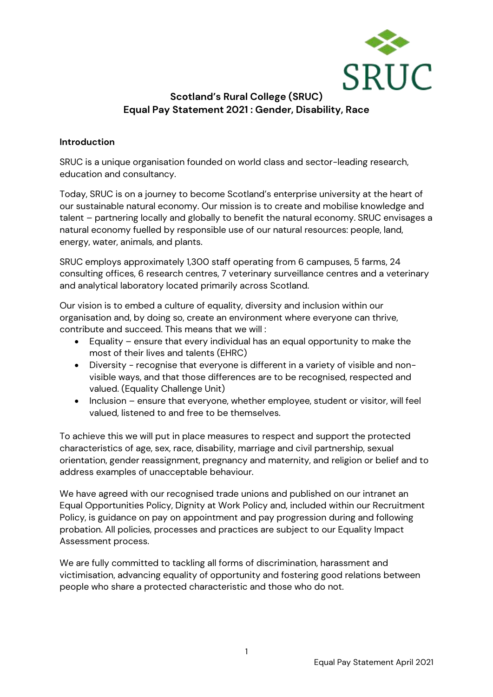

# **Scotland's Rural College (SRUC) Equal Pay Statement 2021 : Gender, Disability, Race**

### **Introduction**

SRUC is a unique organisation founded on world class and sector-leading research, education and consultancy.

Today, SRUC is on a journey to become Scotland's enterprise university at the heart of our sustainable natural economy. Our mission is to create and mobilise knowledge and talent – partnering locally and globally to benefit the natural economy. SRUC envisages a natural economy fuelled by responsible use of our natural resources: people, land, energy, water, animals, and plants.

SRUC employs approximately 1,300 staff operating from 6 campuses, 5 farms, 24 consulting offices, 6 research centres, 7 veterinary surveillance centres and a veterinary and analytical laboratory located primarily across Scotland.

Our vision is to embed a culture of equality, diversity and inclusion within our organisation and, by doing so, create an environment where everyone can thrive, contribute and succeed. This means that we will :

- Equality ensure that every individual has an equal opportunity to make the most of their lives and talents (EHRC)
- Diversity recognise that everyone is different in a variety of visible and nonvisible ways, and that those differences are to be recognised, respected and valued. (Equality Challenge Unit)
- Inclusion ensure that everyone, whether employee, student or visitor, will feel valued, listened to and free to be themselves.

To achieve this we will put in place measures to respect and support the protected characteristics of age, sex, race, disability, marriage and civil partnership, sexual orientation, gender reassignment, pregnancy and maternity, and religion or belief and to address examples of unacceptable behaviour.

We have agreed with our recognised trade unions and published on our intranet an Equal Opportunities Policy, Dignity at Work Policy and, included within our Recruitment Policy, is guidance on pay on appointment and pay progression during and following probation. All policies, processes and practices are subject to our Equality Impact Assessment process.

We are fully committed to tackling all forms of discrimination, harassment and victimisation, advancing equality of opportunity and fostering good relations between people who share a protected characteristic and those who do not.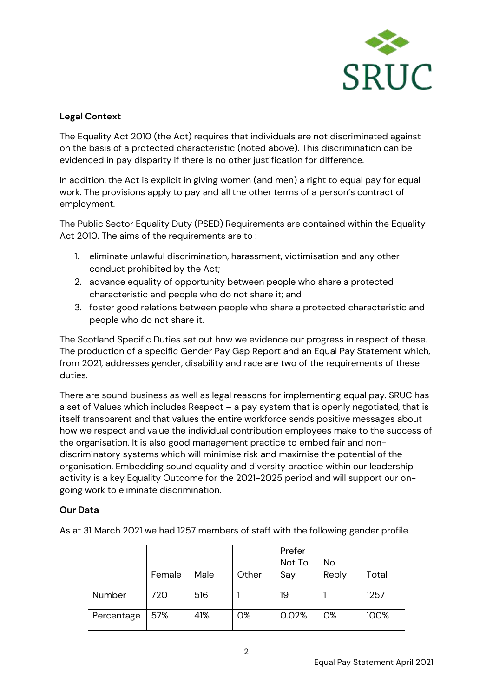

# **Legal Context**

The Equality Act 2010 (the Act) requires that individuals are not discriminated against on the basis of a protected characteristic (noted above). This discrimination can be evidenced in pay disparity if there is no other justification for difference.

In addition, the Act is explicit in giving women (and men) a right to equal pay for equal work. The provisions apply to pay and all the other terms of a person's contract of employment.

The Public Sector Equality Duty (PSED) Requirements are contained within the Equality Act 2010. The aims of the requirements are to:

- 1. eliminate unlawful discrimination, harassment, victimisation and any other conduct prohibited by the Act;
- 2. advance equality of opportunity between people who share a protected characteristic and people who do not share it; and
- 3. foster good relations between people who share a protected characteristic and people who do not share it.

The Scotland Specific Duties set out how we evidence our progress in respect of these. The production of a specific Gender Pay Gap Report and an Equal Pay Statement which, from 2021, addresses gender, disability and race are two of the requirements of these duties.

There are sound business as well as legal reasons for implementing equal pay. SRUC has a set of Values which includes Respect – a pay system that is openly negotiated, that is itself transparent and that values the entire workforce sends positive messages about how we respect and value the individual contribution employees make to the success of the organisation. It is also good management practice to embed fair and nondiscriminatory systems which will minimise risk and maximise the potential of the organisation. Embedding sound equality and diversity practice within our leadership activity is a key Equality Outcome for the 2021-2025 period and will support our ongoing work to eliminate discrimination.

## **Our Data**

As at 31 March 2021 we had 1257 members of staff with the following gender profile.

|            | Female | Male | Other | Prefer<br>Not To<br>Say | <b>No</b><br>Reply | Total |
|------------|--------|------|-------|-------------------------|--------------------|-------|
| Number     | 720    | 516  |       | 19                      |                    | 1257  |
| Percentage | 57%    | 41%  | 0%    | 0.02%                   | 0%                 | 100%  |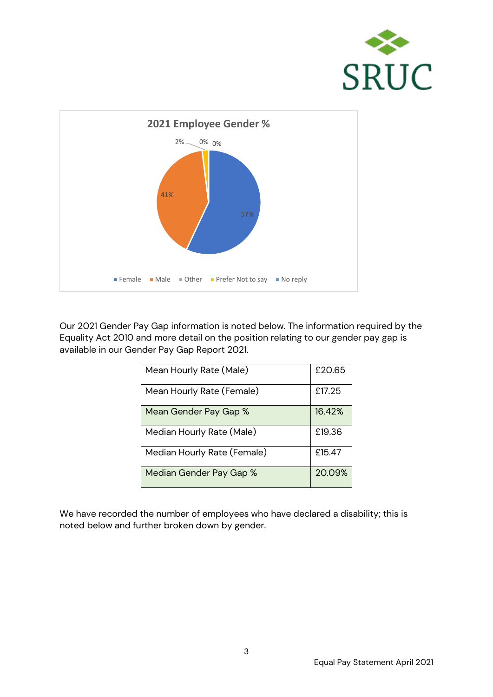



Our 2021 Gender Pay Gap information is noted below. The information required by the Equality Act 2010 and more detail on the position relating to our gender pay gap is available in our Gender Pay Gap Report 2021.

| Mean Hourly Rate (Male)     | £20.65 |
|-----------------------------|--------|
| Mean Hourly Rate (Female)   | £17.25 |
| Mean Gender Pay Gap %       | 16.42% |
| Median Hourly Rate (Male)   | £19.36 |
| Median Hourly Rate (Female) | £15.47 |
| Median Gender Pay Gap %     | 20.09% |

We have recorded the number of employees who have declared a disability; this is noted below and further broken down by gender.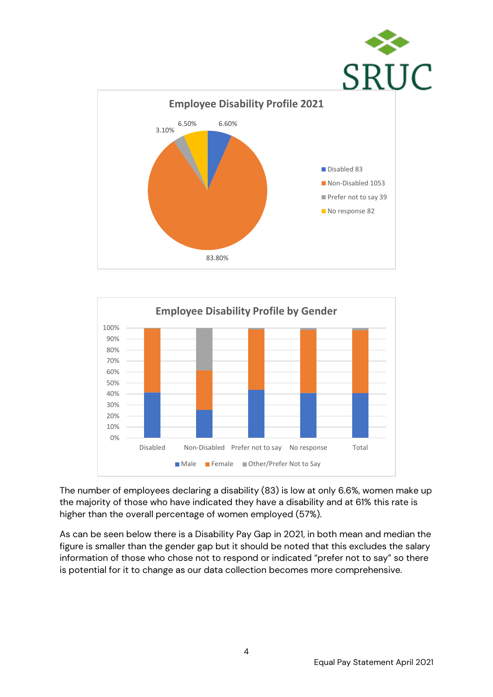



The number of employees declaring a disability (83) is low at only 6.6%, women make up the majority of those who have indicated they have a disability and at 61% this rate is higher than the overall percentage of women employed (57%).

As can be seen below there is a Disability Pay Gap in 2021, in both mean and median the figure is smaller than the gender gap but it should be noted that this excludes the salary information of those who chose not to respond or indicated "prefer not to say" so there is potential for it to change as our data collection becomes more comprehensive.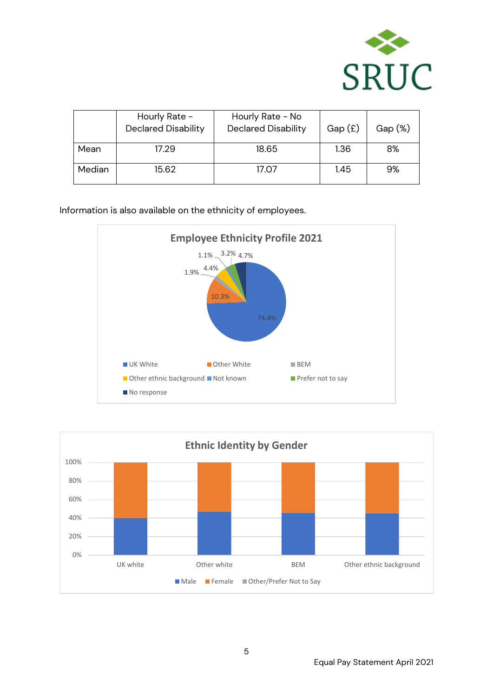

|        | Hourly Rate -<br><b>Declared Disability</b> | Hourly Rate - No<br><b>Declared Disability</b> | Gap(f) | $Gap (\%)$ |
|--------|---------------------------------------------|------------------------------------------------|--------|------------|
| Mean   | 17.29                                       | 18.65                                          | 1.36   | 8%         |
| Median | 15.62                                       | 17.07                                          | 1.45   | 9%         |

Information is also available on the ethnicity of employees.



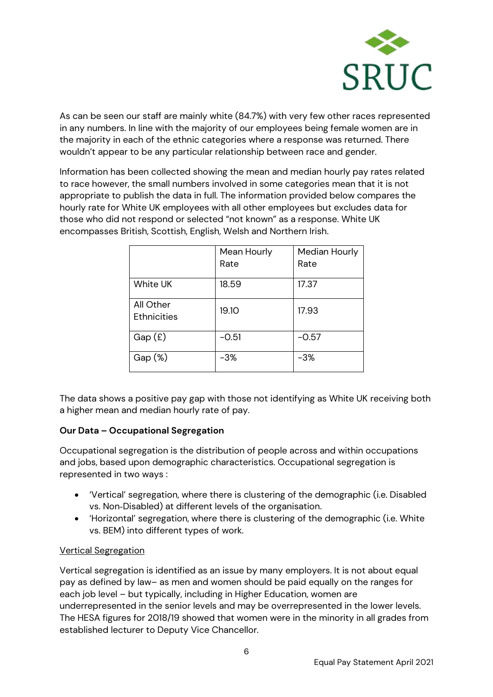

As can be seen our staff are mainly white (84.7%) with very few other races represented in any numbers. In line with the majority of our employees being female women are in the majority in each of the ethnic categories where a response was returned. There wouldn't appear to be any particular relationship between race and gender.

Information has been collected showing the mean and median hourly pay rates related to race however, the small numbers involved in some categories mean that it is not appropriate to publish the data in full. The information provided below compares the hourly rate for White UK employees with all other employees but excludes data for those who did not respond or selected "not known" as a response. White UK encompasses British, Scottish, English, Welsh and Northern Irish.

|                                 | Mean Hourly<br>Rate | Median Hourly<br>Rate |
|---------------------------------|---------------------|-----------------------|
| <b>White UK</b>                 | 18.59               | 17.37                 |
| All Other<br><b>Ethnicities</b> | 19.10               | 17.93                 |
| Gap(f)                          | $-0.51$             | $-0.57$               |
| $Gap (\%)$                      | $-3%$               | $-3%$                 |

The data shows a positive pay gap with those not identifying as White UK receiving both a higher mean and median hourly rate of pay.

## **Our Data – Occupational Segregation**

Occupational segregation is the distribution of people across and within occupations and jobs, based upon demographic characteristics. Occupational segregation is represented in two ways :

- 'Vertical' segregation, where there is clustering of the demographic (i.e. Disabled vs. Non‐Disabled) at different levels of the organisation.
- 'Horizontal' segregation, where there is clustering of the demographic (i.e. White vs. BEM) into different types of work.

#### Vertical Segregation

Vertical segregation is identified as an issue by many employers. It is not about equal pay as defined by law– as men and women should be paid equally on the ranges for each job level – but typically, including in Higher Education, women are underrepresented in the senior levels and may be overrepresented in the lower levels. The HESA figures for 2018/19 showed that women were in the minority in all grades from established lecturer to Deputy Vice Chancellor.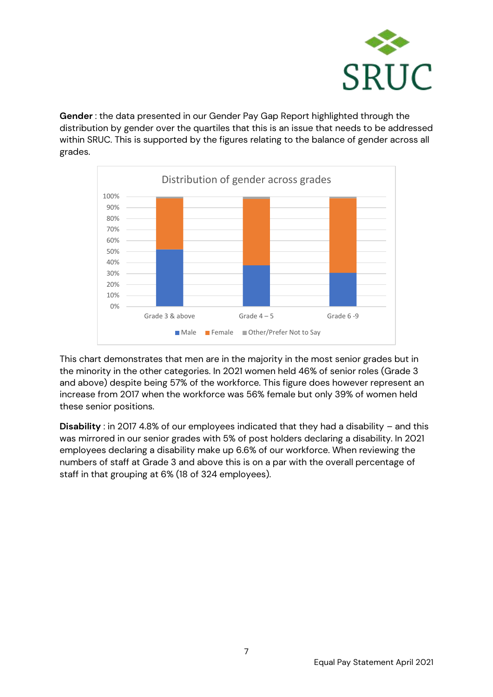

**Gender** : the data presented in our Gender Pay Gap Report highlighted through the distribution by gender over the quartiles that this is an issue that needs to be addressed within SRUC. This is supported by the figures relating to the balance of gender across all grades.



This chart demonstrates that men are in the majority in the most senior grades but in the minority in the other categories. In 2021 women held 46% of senior roles (Grade 3 and above) despite being 57% of the workforce. This figure does however represent an increase from 2017 when the workforce was 56% female but only 39% of women held these senior positions.

**Disability** : in 2017 4.8% of our employees indicated that they had a disability – and this was mirrored in our senior grades with 5% of post holders declaring a disability. In 2021 employees declaring a disability make up 6.6% of our workforce. When reviewing the numbers of staff at Grade 3 and above this is on a par with the overall percentage of staff in that grouping at 6% (18 of 324 employees).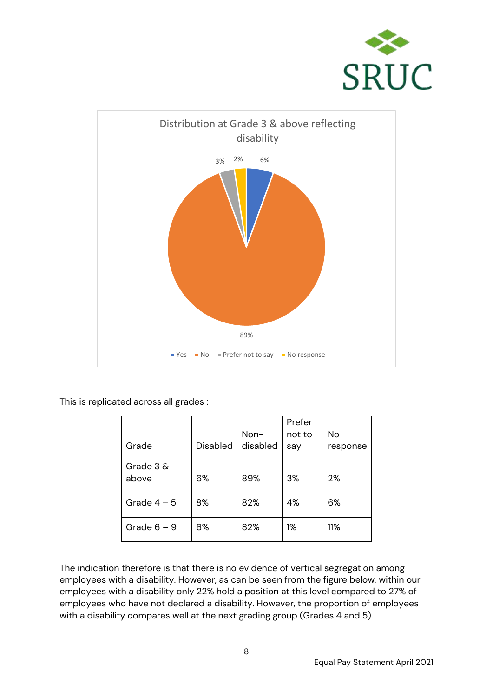



This is replicated across all grades :

| Grade             | Disabled | Non-<br>disabled | Prefer<br>not to<br>say | No<br>response |
|-------------------|----------|------------------|-------------------------|----------------|
| Grade 3&<br>above | 6%       | 89%              | 3%                      | 2%             |
| Grade $4-5$       | 8%       | 82%              | 4%                      | 6%             |
| Grade $6 - 9$     | 6%       | 82%              | 1%                      | 11%            |

The indication therefore is that there is no evidence of vertical segregation among employees with a disability. However, as can be seen from the figure below, within our employees with a disability only 22% hold a position at this level compared to 27% of employees who have not declared a disability. However, the proportion of employees with a disability compares well at the next grading group (Grades 4 and 5).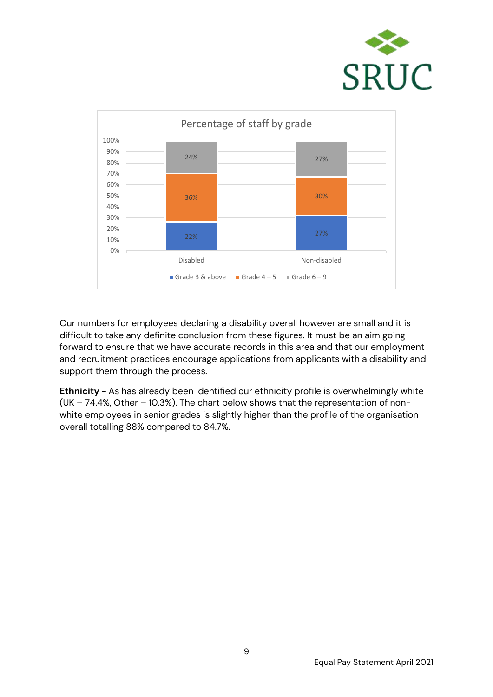



Our numbers for employees declaring a disability overall however are small and it is difficult to take any definite conclusion from these figures. It must be an aim going forward to ensure that we have accurate records in this area and that our employment and recruitment practices encourage applications from applicants with a disability and support them through the process.

**Ethnicity -** As has already been identified our ethnicity profile is overwhelmingly white (UK – 74.4%, Other – 10.3%). The chart below shows that the representation of nonwhite employees in senior grades is slightly higher than the profile of the organisation overall totalling 88% compared to 84.7%.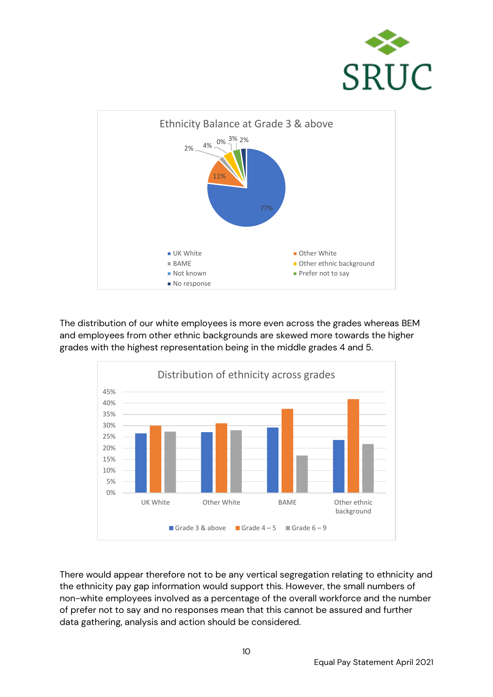



The distribution of our white employees is more even across the grades whereas BEM and employees from other ethnic backgrounds are skewed more towards the higher grades with the highest representation being in the middle grades 4 and 5.



There would appear therefore not to be any vertical segregation relating to ethnicity and the ethnicity pay gap information would support this. However, the small numbers of non-white employees involved as a percentage of the overall workforce and the number of prefer not to say and no responses mean that this cannot be assured and further data gathering, analysis and action should be considered.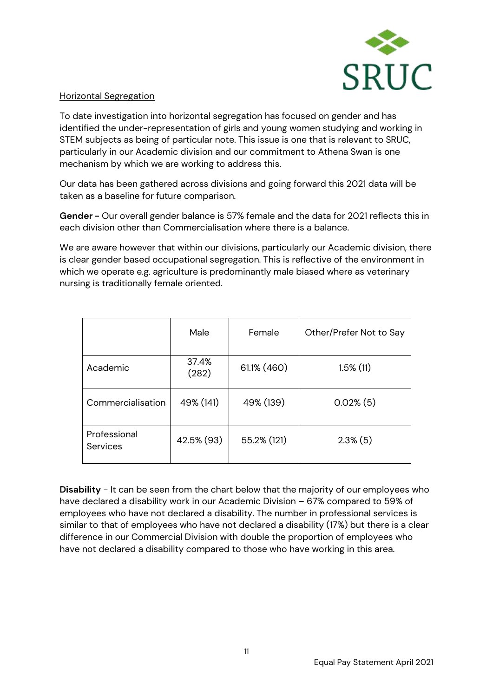

#### Horizontal Segregation

To date investigation into horizontal segregation has focused on gender and has identified the under-representation of girls and young women studying and working in STEM subjects as being of particular note. This issue is one that is relevant to SRUC, particularly in our Academic division and our commitment to Athena Swan is one mechanism by which we are working to address this.

Our data has been gathered across divisions and going forward this 2021 data will be taken as a baseline for future comparison.

**Gender -** Our overall gender balance is 57% female and the data for 2021 reflects this in each division other than Commercialisation where there is a balance.

We are aware however that within our divisions, particularly our Academic division, there is clear gender based occupational segregation. This is reflective of the environment in which we operate e.g. agriculture is predominantly male biased where as veterinary nursing is traditionally female oriented.

|                          | Male           | Female      | Other/Prefer Not to Say |
|--------------------------|----------------|-------------|-------------------------|
| Academic                 | 37.4%<br>(282) | 61.1% (460) | $1.5\%$ (11)            |
| Commercialisation        | 49% (141)      | 49% (139)   | $0.02\%$ (5)            |
| Professional<br>Services | 42.5% (93)     | 55.2% (121) | $2.3\%$ (5)             |

**Disability** - It can be seen from the chart below that the majority of our employees who have declared a disability work in our Academic Division – 67% compared to 59% of employees who have not declared a disability. The number in professional services is similar to that of employees who have not declared a disability (17%) but there is a clear difference in our Commercial Division with double the proportion of employees who have not declared a disability compared to those who have working in this area.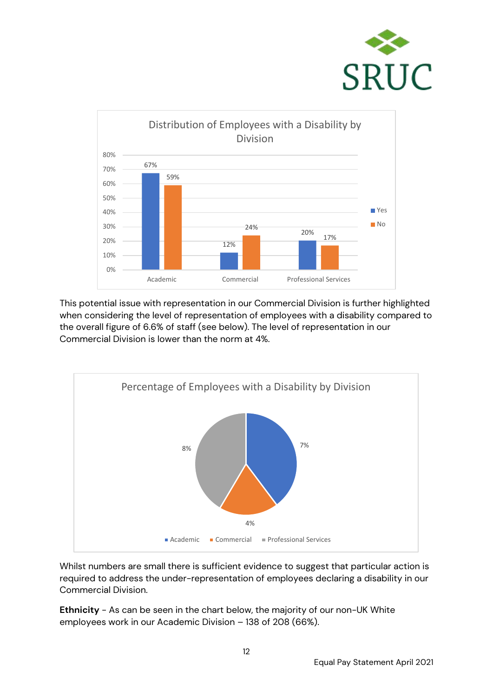



This potential issue with representation in our Commercial Division is further highlighted when considering the level of representation of employees with a disability compared to the overall figure of 6.6% of staff (see below). The level of representation in our Commercial Division is lower than the norm at 4%.



Whilst numbers are small there is sufficient evidence to suggest that particular action is required to address the under-representation of employees declaring a disability in our Commercial Division.

**Ethnicity** - As can be seen in the chart below, the majority of our non-UK White employees work in our Academic Division – 138 of 208 (66%).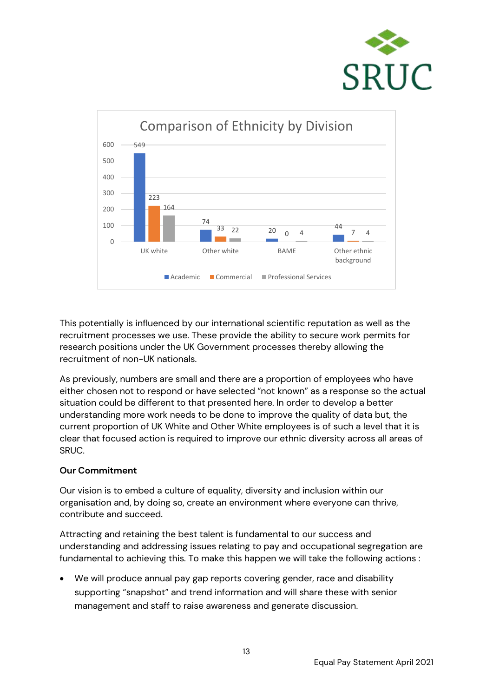



This potentially is influenced by our international scientific reputation as well as the recruitment processes we use. These provide the ability to secure work permits for research positions under the UK Government processes thereby allowing the recruitment of non-UK nationals.

As previously, numbers are small and there are a proportion of employees who have either chosen not to respond or have selected "not known" as a response so the actual situation could be different to that presented here. In order to develop a better understanding more work needs to be done to improve the quality of data but, the current proportion of UK White and Other White employees is of such a level that it is clear that focused action is required to improve our ethnic diversity across all areas of SRUC.

#### **Our Commitment**

Our vision is to embed a culture of equality, diversity and inclusion within our organisation and, by doing so, create an environment where everyone can thrive, contribute and succeed.

Attracting and retaining the best talent is fundamental to our success and understanding and addressing issues relating to pay and occupational segregation are fundamental to achieving this. To make this happen we will take the following actions :

• We will produce annual pay gap reports covering gender, race and disability supporting "snapshot" and trend information and will share these with senior management and staff to raise awareness and generate discussion.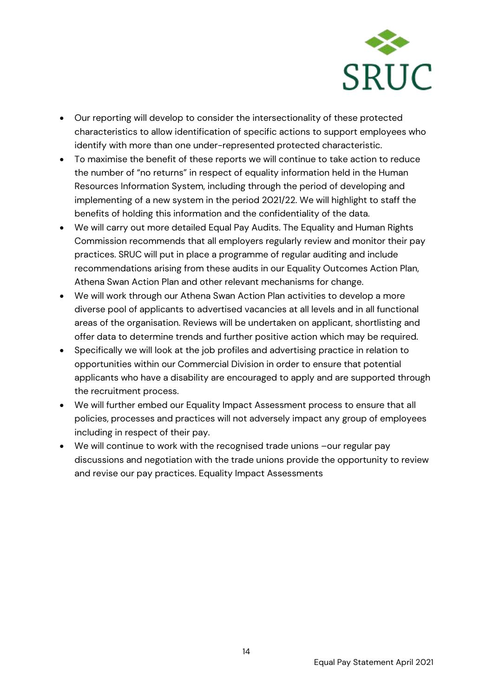

- Our reporting will develop to consider the intersectionality of these protected characteristics to allow identification of specific actions to support employees who identify with more than one under-represented protected characteristic.
- To maximise the benefit of these reports we will continue to take action to reduce the number of "no returns" in respect of equality information held in the Human Resources Information System, including through the period of developing and implementing of a new system in the period 2021/22. We will highlight to staff the benefits of holding this information and the confidentiality of the data.
- We will carry out more detailed Equal Pay Audits. The Equality and Human Rights Commission recommends that all employers regularly review and monitor their pay practices. SRUC will put in place a programme of regular auditing and include recommendations arising from these audits in our Equality Outcomes Action Plan, Athena Swan Action Plan and other relevant mechanisms for change.
- We will work through our Athena Swan Action Plan activities to develop a more diverse pool of applicants to advertised vacancies at all levels and in all functional areas of the organisation. Reviews will be undertaken on applicant, shortlisting and offer data to determine trends and further positive action which may be required.
- Specifically we will look at the job profiles and advertising practice in relation to opportunities within our Commercial Division in order to ensure that potential applicants who have a disability are encouraged to apply and are supported through the recruitment process.
- We will further embed our Equality Impact Assessment process to ensure that all policies, processes and practices will not adversely impact any group of employees including in respect of their pay.
- We will continue to work with the recognised trade unions –our regular pay discussions and negotiation with the trade unions provide the opportunity to review and revise our pay practices. Equality Impact Assessments